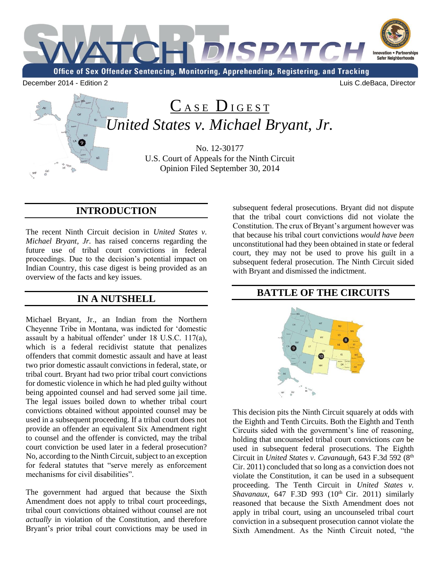

# CASE DIGEST *United States v. Michael Bryant, Jr.*

No. 12-30177 U.S. Court of Appeals for the Ninth Circuit Opinion Filed September 30, 2014

## **INTRODUCTION**

The recent Ninth Circuit decision in *United States v. Michael Bryant, Jr.* has raised concerns regarding the future use of tribal court convictions in federal proceedings. Due to the decision's potential impact on Indian Country, this case digest is being provided as an overview of the facts and key issues.

### **IN A NUTSHELL**

Michael Bryant, Jr., an Indian from the Northern Cheyenne Tribe in Montana, was indicted for 'domestic assault by a habitual offender' under 18 U.S.C. 117(a), which is a federal recidivist statute that penalizes offenders that commit domestic assault and have at least two prior domestic assault convictions in federal, state, or tribal court. Bryant had two prior tribal court convictions for domestic violence in which he had pled guilty without being appointed counsel and had served some jail time. The legal issues boiled down to whether tribal court convictions obtained without appointed counsel may be used in a subsequent proceeding. If a tribal court does not provide an offender an equivalent Six Amendment right to counsel and the offender is convicted, may the tribal court conviction be used later in a federal prosecution? No, according to the Ninth Circuit, subject to an exception for federal statutes that "serve merely as enforcement mechanisms for civil disabilities".

The government had argued that because the Sixth Amendment does not apply to tribal court proceedings, tribal court convictions obtained without counsel are not *actually* in violation of the Constitution, and therefore Bryant's prior tribal court convictions may be used in subsequent federal prosecutions. Bryant did not dispute that the tribal court convictions did not violate the Constitution. The crux of Bryant's argument however was that because his tribal court convictions *would have been* unconstitutional had they been obtained in state or federal court, they may not be used to prove his guilt in a subsequent federal prosecution. The Ninth Circuit sided with Bryant and dismissed the indictment.

### **BATTLE OF THE CIRCUITS**



This decision pits the Ninth Circuit squarely at odds with the Eighth and Tenth Circuits. Both the Eighth and Tenth Circuits sided with the government's line of reasoning, holding that uncounseled tribal court convictions *can* be used in subsequent federal prosecutions. The Eighth Circuit in *United States v. Cavanaugh*, 643 F.3d 592 (8th Cir. 2011) concluded that so long as a conviction does not violate the Constitution, it can be used in a subsequent proceeding. The Tenth Circuit in *United States v. Shavanaux*, 647 F.3D 993 (10<sup>th</sup> Cir. 2011) similarly reasoned that because the Sixth Amendment does not apply in tribal court, using an uncounseled tribal court conviction in a subsequent prosecution cannot violate the Sixth Amendment. As the Ninth Circuit noted, "the